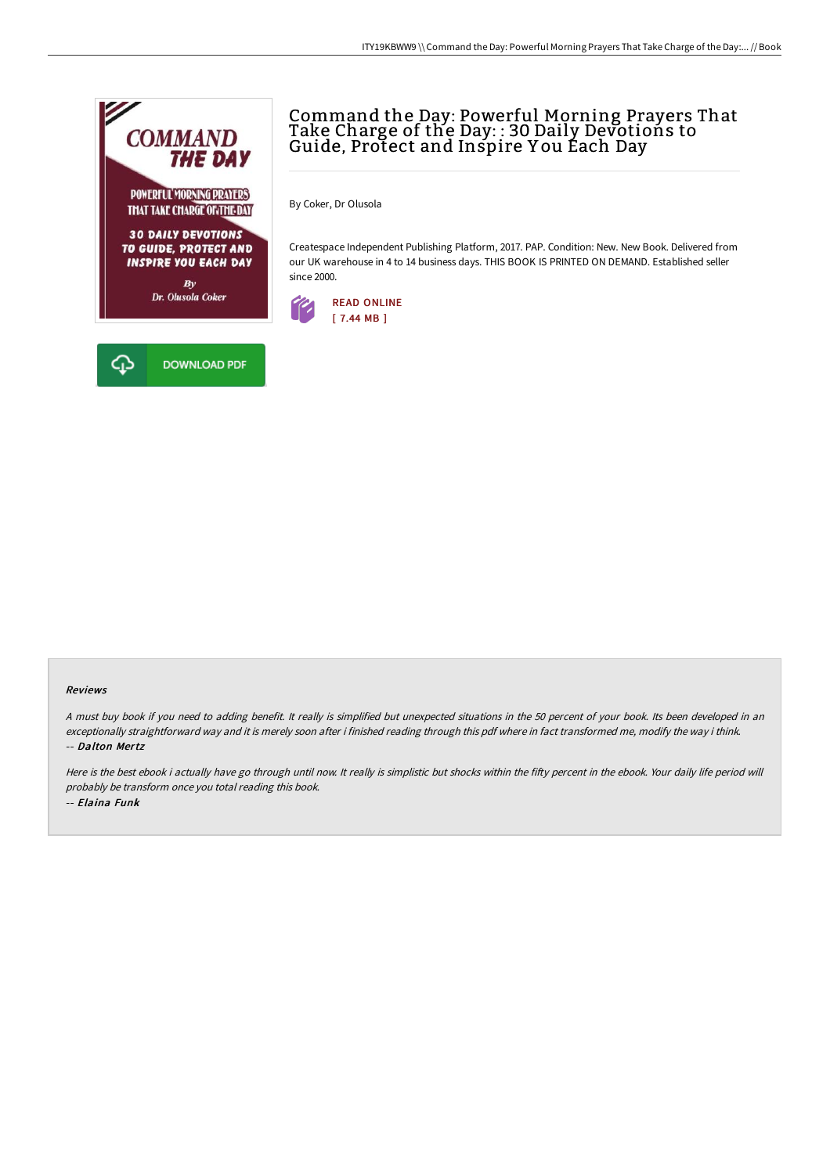

## Command the Day: Powerful Morning Prayers That Take Charge of the Day: : 30 Daily Devotions to Guide, Protect and Inspire Y ou Each Day

By Coker, Dr Olusola

Createspace Independent Publishing Platform, 2017. PAP. Condition: New. New Book. Delivered from our UK warehouse in 4 to 14 business days. THIS BOOK IS PRINTED ON DEMAND. Established seller since 2000.



## Reviews

<sup>A</sup> must buy book if you need to adding benefit. It really is simplified but unexpected situations in the <sup>50</sup> percent of your book. Its been developed in an exceptionally straightforward way and it is merely soon after i finished reading through this pdf where in fact transformed me, modify the way i think. -- Dalton Mertz

Here is the best ebook i actually have go through until now. It really is simplistic but shocks within the fifty percent in the ebook. Your daily life period will probably be transform once you total reading this book. -- Elaina Funk